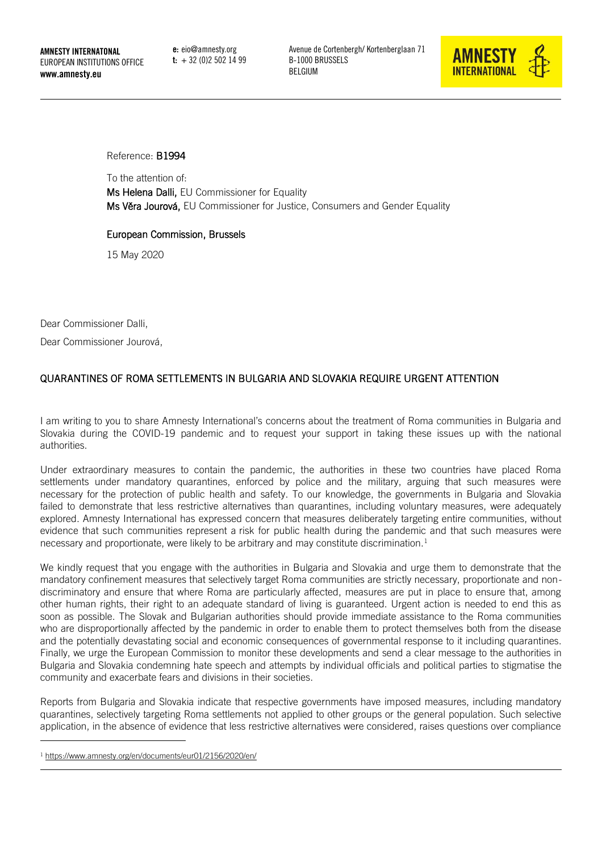e: eio@amnesty.org  $t: +32(0)25021499$  Avenue de Cortenbergh/ Kortenberglaan 71 B-1000 BRUSSELS BELGIUM



Reference: B1994

To the attention of:

Ms Helena Dalli, EU Commissioner for Equality Ms Věra Jourová, EU Commissioner for Justice, Consumers and Gender Equality

## European Commission, Brussels

15 May 2020

Dear Commissioner Dalli,

Dear Commissioner Jourová,

## QUARANTINES OF ROMA SETTLEMENTS IN BULGARIA AND SLOVAKIA REQUIRE URGENT ATTENTION

I am writing to you to share Amnesty International's concerns about the treatment of Roma communities in Bulgaria and Slovakia during the COVID-19 pandemic and to request your support in taking these issues up with the national authorities.

Under extraordinary measures to contain the pandemic, the authorities in these two countries have placed Roma settlements under mandatory quarantines, enforced by police and the military, arguing that such measures were necessary for the protection of public health and safety. To our knowledge, the governments in Bulgaria and Slovakia failed to demonstrate that less restrictive alternatives than quarantines, including voluntary measures, were adequately explored. Amnesty International has expressed concern that measures deliberately targeting entire communities, without evidence that such communities represent a risk for public health during the pandemic and that such measures were necessary and proportionate, were likely to be arbitrary and may constitute discrimination.<sup>1</sup>

We kindly request that you engage with the authorities in Bulgaria and Slovakia and urge them to demonstrate that the mandatory confinement measures that selectively target Roma communities are strictly necessary, proportionate and nondiscriminatory and ensure that where Roma are particularly affected, measures are put in place to ensure that, among other human rights, their right to an adequate standard of living is guaranteed. Urgent action is needed to end this as soon as possible. The Slovak and Bulgarian authorities should provide immediate assistance to the Roma communities who are disproportionally affected by the pandemic in order to enable them to protect themselves both from the disease and the potentially devastating social and economic consequences of governmental response to it including quarantines. Finally, we urge the European Commission to monitor these developments and send a clear message to the authorities in Bulgaria and Slovakia condemning hate speech and attempts by individual officials and political parties to stigmatise the community and exacerbate fears and divisions in their societies.

Reports from Bulgaria and Slovakia indicate that respective governments have imposed measures, including mandatory quarantines, selectively targeting Roma settlements not applied to other groups or the general population. Such selective application, in the absence of evidence that less restrictive alternatives were considered, raises questions over compliance

<sup>1</sup> <https://www.amnesty.org/en/documents/eur01/2156/2020/en/>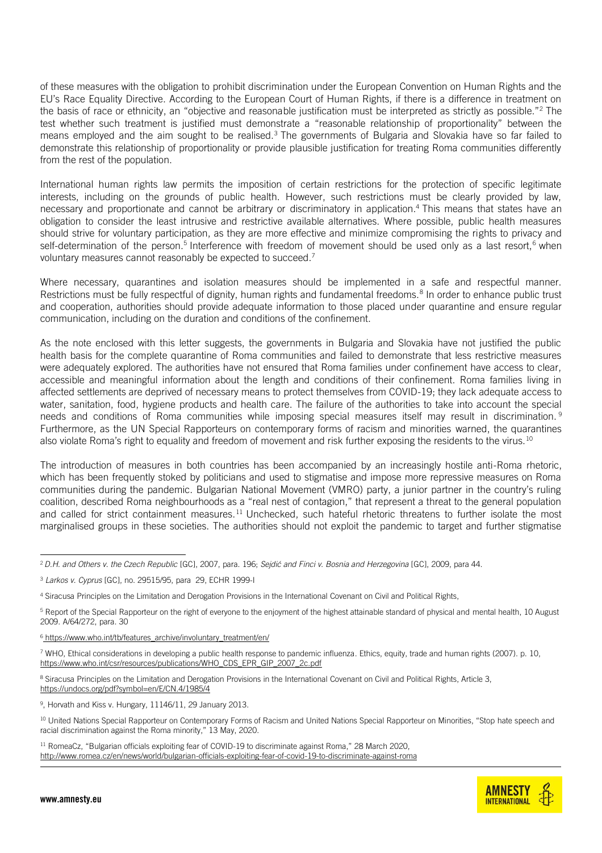of these measures with the obligation to prohibit discrimination under the European Convention on Human Rights and the EU's Race Equality Directive. According to the European Court of Human Rights, if there is a difference in treatment on the basis of race or ethnicity, an "objective and reasonable justification must be interpreted as strictly as possible."<sup>2</sup> The test whether such treatment is justified must demonstrate a "reasonable relationship of proportionality" between the means employed and the aim sought to be realised.<sup>3</sup> The governments of Bulgaria and Slovakia have so far failed to demonstrate this relationship of proportionality or provide plausible justification for treating Roma communities differently from the rest of the population.

International human rights law permits the imposition of certain restrictions for the protection of specific legitimate interests, including on the grounds of public health. However, such restrictions must be clearly provided by law, necessary and proportionate and cannot be arbitrary or discriminatory in application.<sup>4</sup> This means that states have an obligation to consider the least intrusive and restrictive available alternatives. Where possible, public health measures should strive for voluntary participation, as they are more effective and minimize compromising the rights to privacy and self-determination of the person.<sup>5</sup> Interference with freedom of movement should be used only as a last resort,<sup>6</sup> when voluntary measures cannot reasonably be expected to succeed.<sup>7</sup>

Where necessary, quarantines and isolation measures should be implemented in a safe and respectful manner. Restrictions must be fully respectful of dignity, human rights and fundamental freedoms.<sup>8</sup> In order to enhance public trust and cooperation, authorities should provide adequate information to those placed under quarantine and ensure regular communication, including on the duration and conditions of the confinement.

As the note enclosed with this letter suggests, the governments in Bulgaria and Slovakia have not justified the public health basis for the complete quarantine of Roma communities and failed to demonstrate that less restrictive measures were adequately explored. The authorities have not ensured that Roma families under confinement have access to clear, accessible and meaningful information about the length and conditions of their confinement. Roma families living in affected settlements are deprived of necessary means to protect themselves from COVID-19; they lack adequate access to water, sanitation, food, hygiene products and health care. The failure of the authorities to take into account the special needs and conditions of Roma communities while imposing special measures itself may result in discrimination. <sup>9</sup> Furthermore, as the UN Special Rapporteurs on contemporary forms of racism and minorities warned, the quarantines also violate Roma's right to equality and freedom of movement and risk further exposing the residents to the virus.<sup>10</sup>

The introduction of measures in both countries has been accompanied by an increasingly hostile anti-Roma rhetoric, which has been frequently stoked by politicians and used to stigmatise and impose more repressive measures on Roma communities during the pandemic. Bulgarian National Movement (VMRO) party, a junior partner in the country's ruling coalition, described Roma neighbourhoods as a "real nest of contagion," that represent a threat to the general population and called for strict containment measures.<sup>11</sup> Unchecked, such hateful rhetoric threatens to further isolate the most marginalised groups in these societies. The authorities should not exploit the pandemic to target and further stigmatise



<sup>2</sup> *D.H. and Others v. the Czech Republic* [GC], 2007, para. 196; *Sejdić and Finci v. Bosnia and Herzegovina* [GC], 2009, para 44.

<sup>3</sup> *Larkos v. Cyprus* [GC], no. [29515/95,](https://hudoc.echr.coe.int/eng#{%22appno%22:[%2229515/95%22]}) para 29, ECHR 1999-I

<sup>4</sup> Siracusa Principles on the Limitation and Derogation Provisions in the International Covenant on Civil and Political Rights,

<sup>&</sup>lt;sup>5</sup> Report of the Special Rapporteur on the right of everyone to the enjoyment of the highest attainable standard of physical and mental health, 10 August 2009. A/64/272, para. 30

 $6$  [https://www.who.int/tb/features\\_archive/involuntary\\_treatment/en/](https://www.who.int/tb/features_archive/involuntary_treatment/en/)

<sup>7</sup> WHO, Ethical considerations in developing a public health response to pandemic influenza. Ethics, equity, trade and human rights (2007). p. 10, [https://www.who.int/csr/resources/publications/WHO\\_CDS\\_EPR\\_GIP\\_2007\\_2c.pdf](https://www.who.int/csr/resources/publications/WHO_CDS_EPR_GIP_2007_2c.pdf)

<sup>&</sup>lt;sup>8</sup> Siracusa Principles on the Limitation and Derogation Provisions in the International Covenant on Civil and Political Rights, Article 3, <https://undocs.org/pdf?symbol=en/E/CN.4/1985/4>

<sup>9</sup> , Horvath and Kiss v. Hungary, 11146/11, 29 January 2013.

<sup>&</sup>lt;sup>10</sup> United Nations Special Rapporteur on Contemporary Forms of Racism and United Nations Special Rapporteur on Minorities, "Stop hate speech and racial discrimination against the Roma minority," 13 May, 2020.

<sup>&</sup>lt;sup>11</sup> RomeaCz, "Bulgarian officials exploiting fear of COVID-19 to discriminate against Roma," 28 March 2020, <http://www.romea.cz/en/news/world/bulgarian-officials-exploiting-fear-of-covid-19-to-discriminate-against-roma>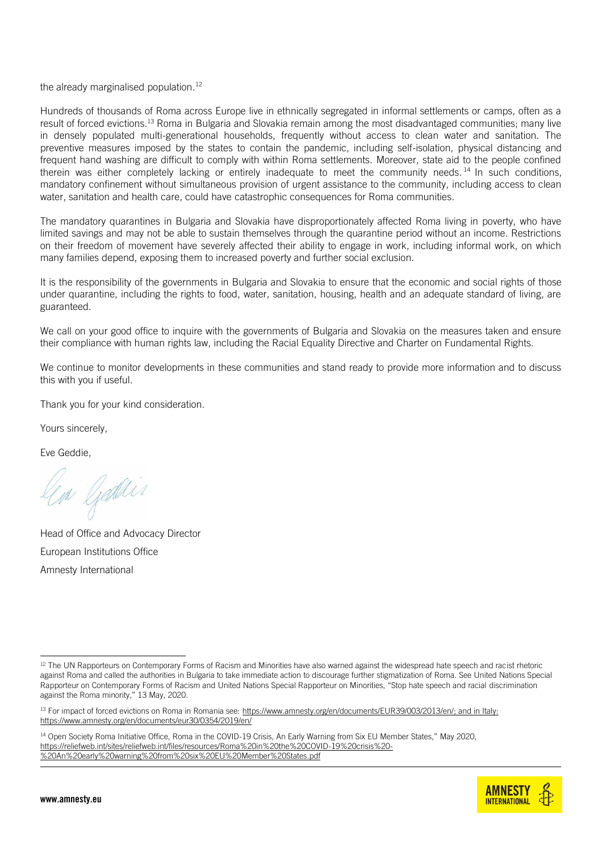the already marginalised population. $12$ 

Hundreds of thousands of Roma across Europe live in ethnically segregated in informal settlements or camps, often as a result of forced evictions.<sup>13</sup> Roma in Bulgaria and Slovakia remain among the most disadvantaged communities; many live in densely populated multi-generational households, frequently without access to clean water and sanitation. The preventive measures imposed by the states to contain the pandemic, including self-isolation, physical distancing and frequent hand washing are difficult to comply with within Roma settlements. Moreover, state aid to the people confined therein was either completely lacking or entirely inadequate to meet the community needs.<sup>14</sup> In such conditions, mandatory confinement without simultaneous provision of urgent assistance to the community, including access to clean water, sanitation and health care, could have catastrophic consequences for Roma communities.

The mandatory quarantines in Bulgaria and Slovakia have disproportionately affected Roma living in poverty, who have limited savings and may not be able to sustain themselves through the quarantine period without an income. Restrictions on their freedom of movement have severely affected their ability to engage in work, including informal work, on which many families depend, exposing them to increased poverty and further social exclusion.

It is the responsibility of the governments in Bulgaria and Slovakia to ensure that the economic and social rights of those under quarantine, including the rights to food, water, sanitation, housing, health and an adequate standard of living, are guaranteed.

We call on your good office to inquire with the governments of Bulgaria and Slovakia on the measures taken and ensure their compliance with human rights law, including the Racial Equality Directive and Charter on Fundamental Rights.

We continue to monitor developments in these communities and stand ready to provide more information and to discuss this with you if useful.

Thank you for your kind consideration.

Yours sincerely,

Eve Geddie,

in Gadlin

Head of Office and Advocacy Director European Institutions Office Amnesty International

<sup>&</sup>lt;sup>14</sup> Open Society Roma Initiative Office, Roma in the COVID-19 Crisis, An Early Warning from Six EU Member States," May 2020, [https://reliefweb.int/sites/reliefweb.int/files/resources/Roma%20in%20the%20COVID-19%20crisis%20-](https://reliefweb.int/sites/reliefweb.int/files/resources/Roma%20in%20the%20COVID-19%20crisis%20-%20An%20early%20warning%20from%20six%20EU%20Member%20States.pdf) [%20An%20early%20warning%20from%20six%20EU%20Member%20States.pdf](https://reliefweb.int/sites/reliefweb.int/files/resources/Roma%20in%20the%20COVID-19%20crisis%20-%20An%20early%20warning%20from%20six%20EU%20Member%20States.pdf)



<sup>&</sup>lt;sup>12</sup> The UN Rapporteurs on Contemporary Forms of Racism and Minorities have also warned against the widespread hate speech and racist rhetoric against Roma and called the authorities in Bulgaria to take immediate action to discourage further stigmatization of Roma. See United Nations Special Rapporteur on Contemporary Forms of Racism and United Nations Special Rapporteur on Minorities, "Stop hate speech and racial discrimination against the Roma minority," 13 May, 2020.

<sup>13</sup> For impact of forced evictions on Roma in Romania see[: https://www.amnesty.org/en/documents/EUR39/003/2013/en/;](https://www.amnesty.org/en/documents/EUR39/003/2013/en/) and in Italy: <https://www.amnesty.org/en/documents/eur30/0354/2019/en/>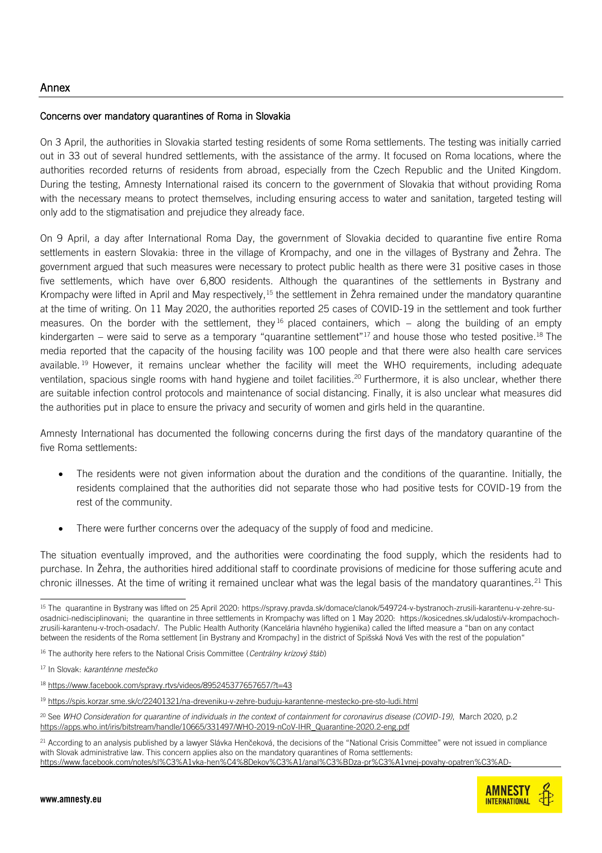## Concerns over mandatory quarantines of Roma in Slovakia

On 3 April, the authorities in Slovakia started testing residents of some Roma settlements. The testing was initially carried out in 33 out of several hundred settlements, with the assistance of the army. It focused on Roma locations, where the authorities recorded returns of residents from abroad, especially from the Czech Republic and the United Kingdom. During the testing, Amnesty International raised its concern to the government of Slovakia that without providing Roma with the necessary means to protect themselves, including ensuring access to water and sanitation, targeted testing will only add to the stigmatisation and prejudice they already face.

On 9 April, a day after International Roma Day, the government of Slovakia decided to quarantine five entire Roma settlements in eastern Slovakia: three in the village of Krompachy, and one in the villages of Bystrany and Žehra. The government argued that such measures were necessary to protect public health as there were 31 positive cases in those five settlements, which have over 6,800 residents. Although the quarantines of the settlements in Bystrany and Krompachy were lifted in April and May respectively,<sup>15</sup> the settlement in Žehra remained under the mandatory quarantine at the time of writing. On 11 May 2020, the authorities reported 25 cases of COVID-19 in the settlement and took further measures. On the border with the settlement, they <sup>16</sup> placed containers, which – along the building of an empty kindergarten – were said to serve as a temporary "quarantine settlement"<sup>17</sup> and house those who tested positive.<sup>18</sup> The media reported that the capacity of the housing facility was 100 people and that there were also health care services available. <sup>19</sup> However, it remains unclear whether the facility will meet the WHO requirements, including adequate ventilation, spacious single rooms with hand hygiene and toilet facilities.<sup>20</sup> Furthermore, it is also unclear, whether there are suitable infection control protocols and maintenance of social distancing. Finally, it is also unclear what measures did the authorities put in place to ensure the privacy and security of women and girls held in the quarantine.

Amnesty International has documented the following concerns during the first days of the mandatory quarantine of the five Roma settlements:

- The residents were not given information about the duration and the conditions of the quarantine. Initially, the residents complained that the authorities did not separate those who had positive tests for COVID-19 from the rest of the community.
- There were further concerns over the adequacy of the supply of food and medicine.

The situation eventually improved, and the authorities were coordinating the food supply, which the residents had to purchase. In Žehra, the authorities hired additional staff to coordinate provisions of medicine for those suffering acute and chronic illnesses. At the time of writing it remained unclear what was the legal basis of the mandatory quarantines.<sup>21</sup> This

 $^{21}$  According to an analysis published by a lawyer Slávka Henčeková, the decisions of the "National Crisis Committee" were not issued in compliance with Slovak administrative law. This concern applies also on the mandatory quarantines of Roma settlements: https://www.facebook.com/notes/sl%C3%A1vka-hen%C4%8Dekov%C3%A1/anal%C3%BDza-pr%C3%A1vnej-povahy-opatren%C3%AD-



<sup>15</sup> The quarantine in Bystrany was lifted on 25 April 2020: [https://spravy.pravda.sk/domace/clanok/549724-v-bystranoch-zrusili-karantenu-v-zehre-su](https://spravy.pravda.sk/domace/clanok/549724-v-bystranoch-zrusili-karantenu-v-zehre-su-osadnici-nedisciplinovani)[osadnici-nedisciplinovani;](https://spravy.pravda.sk/domace/clanok/549724-v-bystranoch-zrusili-karantenu-v-zehre-su-osadnici-nedisciplinovani) the quarantine in three settlements in Krompachy was lifted on 1 May 2020: [https://kosicednes.sk/udalosti/v-krompachoch](https://kosicednes.sk/udalosti/v-krompachoch-zrusili-karantenu-v-troch-osadach/)[zrusili-karantenu-v-troch-osadach/](https://kosicednes.sk/udalosti/v-krompachoch-zrusili-karantenu-v-troch-osadach/). The Public Health Authority (Kancelária hlavného hygienika) called the lifted measure a "ban on any contact between the residents of the Roma settlement [in Bystrany and Krompachy] in the district of Spišská Nová Ves with the rest of the population"

<sup>16</sup> The authority here refers to the National Crisis Committee (*Centrálny krízový štáb*)

<sup>17</sup> In Slovak: *karanténne mestečko*

<sup>&</sup>lt;sup>18</sup> <https://www.facebook.com/spravy.rtvs/videos/895245377657657/?t=43>

<sup>19</sup> <https://spis.korzar.sme.sk/c/22401321/na-dreveniku-v-zehre-buduju-karantenne-mestecko-pre-sto-ludi.html>

<sup>20</sup> See *WHO Consideration for quarantine of individuals in the context of containment for coronavirus disease (COVID-19)*, March 2020, p.2 [https://apps.who.int/iris/bitstream/handle/10665/331497/WHO-2019-nCoV-IHR\\_Quarantine-2020.2-eng.pdf](https://apps.who.int/iris/bitstream/handle/10665/331497/WHO-2019-nCoV-IHR_Quarantine-2020.2-eng.pdf)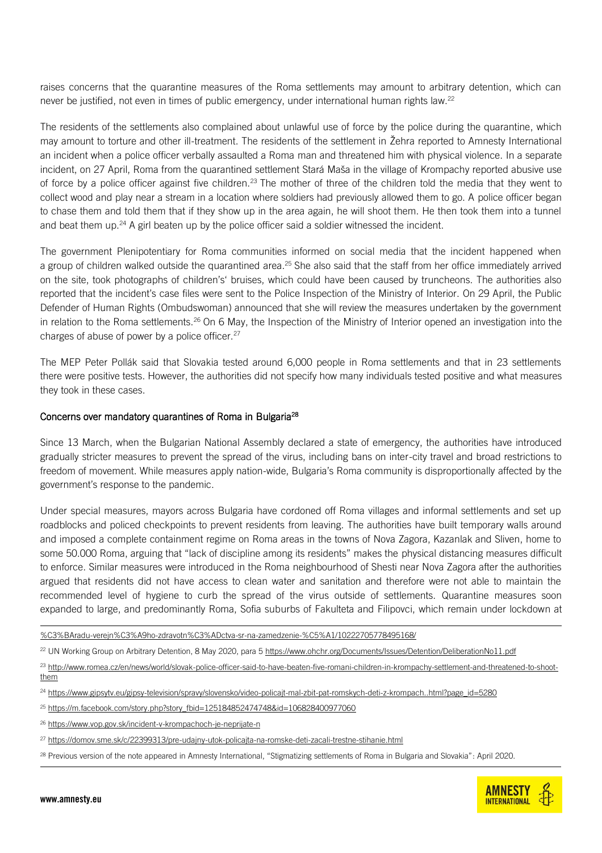raises concerns that the quarantine measures of the Roma settlements may amount to arbitrary detention, which can never be justified, not even in times of public emergency, under international human rights law.<sup>22</sup>

The residents of the settlements also complained about unlawful use of force by the police during the quarantine, which may amount to torture and other ill-treatment. The residents of the settlement in Žehra reported to Amnesty International an incident when a police officer verbally assaulted a Roma man and threatened him with physical violence. In a separate incident, on 27 April, Roma from the quarantined settlement Stará Maša in the village of Krompachy reported abusive use of force by a police officer against five children.<sup>23</sup> The mother of three of the children told the media that they went to collect wood and play near a stream in a location where soldiers had previously allowed them to go. A police officer began to chase them and told them that if they show up in the area again, he will shoot them. He then took them into a tunnel and beat them up. $24$  A girl beaten up by the police officer said a soldier witnessed the incident.

The government Plenipotentiary for Roma communities informed on social media that the incident happened when a group of children walked outside the quarantined area.<sup>25</sup> She also said that the staff from her office immediately arrived on the site, took photographs of children's' bruises, which could have been caused by truncheons. The authorities also reported that the incident's case files were sent to the Police Inspection of the Ministry of Interior. On 29 April, the Public Defender of Human Rights (Ombudswoman) announced that she will review the measures undertaken by the government in relation to the Roma settlements.<sup>26</sup> On 6 May, the Inspection of the Ministry of Interior opened an investigation into the charges of abuse of power by a police officer.<sup>27</sup>

The MEP Peter Pollák said that Slovakia tested around 6,000 people in Roma settlements and that in 23 settlements there were positive tests. However, the authorities did not specify how many individuals tested positive and what measures they took in these cases.

## Concerns over mandatory quarantines of Roma in Bulgaria<sup>28</sup>

Since 13 March, when the Bulgarian National Assembly declared a state of emergency, the authorities have introduced gradually stricter measures to prevent the spread of the virus, including bans on inter-city travel and broad restrictions to freedom of movement. While measures apply nation-wide, Bulgaria's Roma community is disproportionally affected by the government's response to the pandemic.

Under special measures, mayors across Bulgaria have cordoned off Roma villages and informal settlements and set up roadblocks and policed checkpoints to prevent residents from leaving. The authorities have built temporary walls around and imposed a complete containment regime on Roma areas in the towns of Nova Zagora, Kazanlak and Sliven, home to some 50.000 Roma, arguing that "lack of discipline among its residents" makes the physical distancing measures difficult to enforce. Similar measures were introduced in the Roma neighbourhood of Shesti near Nova Zagora after the authorities argued that residents did not have access to clean water and sanitation and therefore were not able to maintain the recommended level of hygiene to curb the spread of the virus outside of settlements. Quarantine measures soon expanded to large, and predominantly Roma, Sofia suburbs of Fakulteta and Filipovci, which remain under lockdown at

%C3%BAradu-verejn%C3%A9ho-zdravotn%C3%ADctva-sr-na-zamedzenie-%C5%A1/10222705778495168/

- <sup>25</sup> [https://m.facebook.com/story.php?story\\_fbid=125184852474748&id=106828400977060](https://m.facebook.com/story.php?story_fbid=125184852474748&id=106828400977060)
- <sup>26</sup> <https://www.vop.gov.sk/incident-v-krompachoch-je-neprijate-n>
- <sup>27</sup> <https://domov.sme.sk/c/22399313/pre-udajny-utok-policajta-na-romske-deti-zacali-trestne-stihanie.html>
- <sup>28</sup> Previous version of the note appeared in Amnesty International, "Stigmatizing settlements of Roma in Bulgaria and Slovakia": April 2020.



<sup>22</sup> UN Working Group on Arbitrary Detention, 8 May 2020, para 5<https://www.ohchr.org/Documents/Issues/Detention/DeliberationNo11.pdf>

<sup>23</sup> [http://www.romea.cz/en/news/world/slovak-police-officer-said-to-have-beaten-five-romani-children-in-krompachy-settlement-and-threatened-to-shoot](http://www.romea.cz/en/news/world/slovak-police-officer-said-to-have-beaten-five-romani-children-in-krompachy-settlement-and-threatened-to-shoot-them)[them](http://www.romea.cz/en/news/world/slovak-police-officer-said-to-have-beaten-five-romani-children-in-krompachy-settlement-and-threatened-to-shoot-them)

<sup>&</sup>lt;sup>24</sup> [https://www.gipsytv.eu/gipsy-television/spravy/slovensko/video-policajt-mal-zbit-pat-romskych-deti-z-krompach..html?page\\_id=5280](https://www.gipsytv.eu/gipsy-television/spravy/slovensko/video-policajt-mal-zbit-pat-romskych-deti-z-krompach..html?page_id=5280)